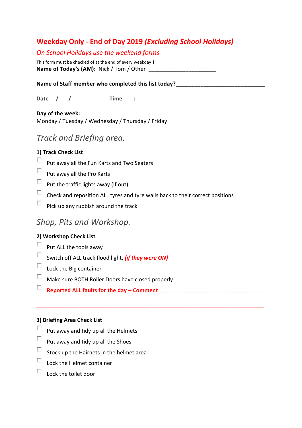### **Weekday Only - End of Day 2019** *(Excluding School Holidays)*

### *On School Holidays use the weekend forms*

This form must be checked of at the end of every weekday!! **Name of Today's (AM):** Nick / Tom / Other

#### Name of Staff member who completed this list today?

**Date / / Time :**

**Day of the week:** Monday / Tuesday / Wednesday / Thursday / Friday

# *Track and Briefing area.*

#### **1) Track Check List**

- П. Put away all the Fun Karts and Two Seaters
- $\Box$ Put away all the Pro Karts
- $\Box$ Put the traffic lights away (If out)
- $\Box$ Check and reposition ALL tyres and tyre walls back to their correct positions

**\_\_\_\_\_\_\_\_\_\_\_\_\_\_\_\_\_\_\_\_\_\_\_\_\_\_\_\_\_\_\_\_\_\_\_\_\_\_\_\_\_\_\_\_\_\_\_\_\_\_\_\_\_\_\_\_\_\_\_\_\_\_\_\_\_\_\_\_\_\_\_\_\_\_**

 $\Box$ Pick up any rubbish around the track

# *Shop, Pits and Workshop.*

#### **2) Workshop Check List**

- $\Box$ Put ALL the tools away
- $\Box$ Switch off ALL track flood light, *(if they were ON)*
- $\square$  Lock the Big container
- $\Box$ Make sure BOTH Roller Doors have closed properly
- $\Box$ **Reported ALL faults for the day – Comment\_\_\_\_\_\_\_\_\_\_\_\_\_\_\_\_\_\_\_\_\_\_\_\_\_\_\_\_\_\_\_\_\_\_**

#### **3) Briefing Area Check List**

- $\Box$ Put away and tidy up all the Helmets
- $\Box$ Put away and tidy up all the Shoes
- $\Box$ Stock up the Hairnets in the helmet area
- $\Box$ Lock the Helmet container
- $\Box$ Lock the toilet door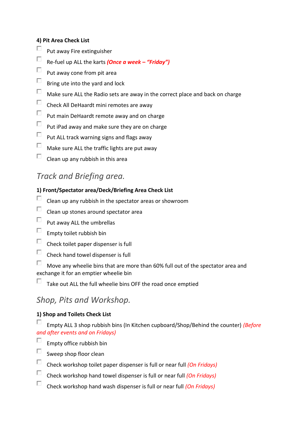#### **4) Pit Area Check List**

- П Put away Fire extinguisher
- $\Box$ Re-fuel up ALL the karts *(Once a week – "Friday")*
- $\Box$ Put away cone from pit area
- $\Box$ Bring ute into the yard and lock
- $\Box$ Make sure ALL the Radio sets are away in the correct place and back on charge
- $\Box$ Check All DeHaardt mini remotes are away
- $\Box$ Put main DeHaardt remote away and on charge
- $\Box$ Put iPad away and make sure they are on charge
- $\Box$ Put ALL track warning signs and flags away
- $\Box$ Make sure ALL the traffic lights are put away
- П Clean up any rubbish in this area

# *Track and Briefing area.*

#### **1) Front/Spectator area/Deck/Briefing Area Check List**

- П Clean up any rubbish in the spectator areas or showroom
- П Clean up stones around spectator area
- $\Box$ Put away ALL the umbrellas
- $\Box$ Empty toilet rubbish bin
- $\Box$ Check toilet paper dispenser is full
- $\Box$ Check hand towel dispenser is full

 $\Box$ Move any wheelie bins that are more than 60% full out of the spectator area and exchange it for an emptier wheelie bin

П Take out ALL the full wheelie bins OFF the road once emptied

# *Shop, Pits and Workshop.*

### **1) Shop and Toilets Check List**

Е Empty ALL 3 shop rubbish bins (In Kitchen cupboard/Shop/Behind the counter) *(Before and after events and on Fridays)*

- П. Empty office rubbish bin
- $\Box$ Sweep shop floor clean
- $\Box$ Check workshop toilet paper dispenser is full or near full *(On Fridays)*
- $\Box$ Check workshop hand towel dispenser is full or near full *(On Fridays)*
- $\Box$ Check workshop hand wash dispenser is full or near full *(On Fridays)*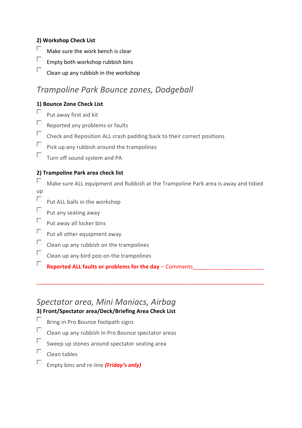### **2) Workshop Check List**

- П Make sure the work bench is clear
- $\Box$ Empty both workshop rubbish bins
- П Clean up any rubbish in the workshop

# *Trampoline Park Bounce zones, Dodgeball*

### **1) Bounce Zone Check List**

- П. Put away first aid kit
- $\Box$ Reported any problems or faults
- $\Box$ Check and Reposition ALL crash padding back to their correct positions
- П. Pick up any rubbish around the trampolines
- $\Box$ Turn off sound system and PA

### **2) Trampoline Park area check list**

П Make sure ALL equipment and Rubbish at the Trampoline Park area is away and tidied up

\_\_\_\_\_\_\_\_\_\_\_\_\_\_\_\_\_\_\_\_\_\_\_\_\_\_\_\_\_\_\_\_\_\_\_\_\_\_\_\_\_\_\_\_\_\_\_\_\_\_\_\_\_\_\_\_\_\_\_\_\_\_\_\_\_\_\_\_\_\_\_\_\_\_

- $\Box$ Put ALL balls in the workshop
- $\Box$
- Put any seating away
- $\Box$ Put away all locker bins
- $\Box$ Put all other equipment away
- $\Box$ Clean up any rubbish on the trampolines
- $\Box$ Clean up any bird poo on the trampolines
- $\Box$ **Reported ALL faults or problems for the day** – Comments

# *Spectator area, Mini Maniacs, Airbag*

### **3) Front/Spectator area/Deck/Briefing Area Check List**

- П Bring in Pro Bounce footpath signs
- $\Box$ Clean up any rubbish in Pro Bounce spectator areas
- $\Box$ Sweep up stones around spectator seating area
- $\square$  Clean tables
- $\Box$ Empty bins and re-line *(Friday's only)*